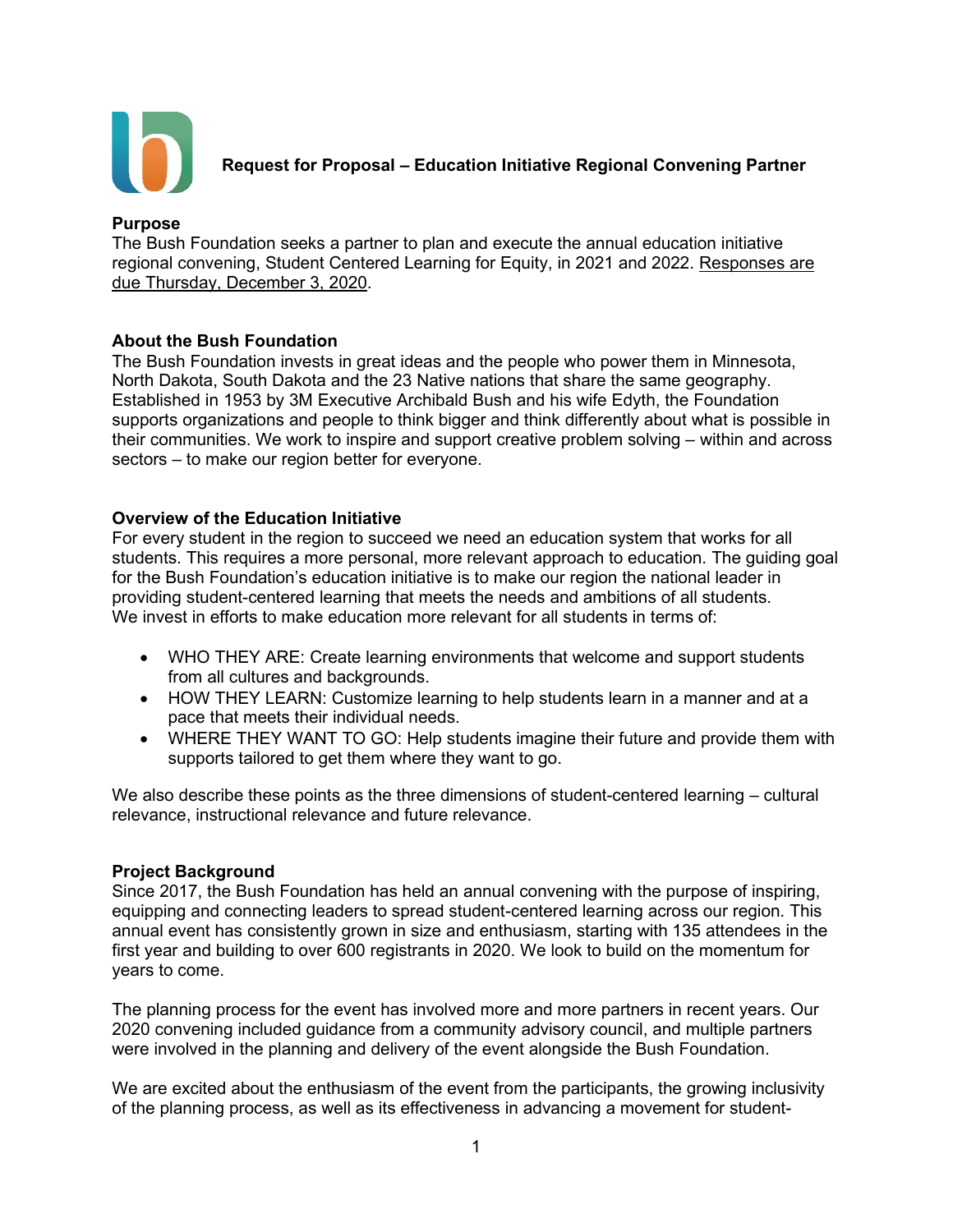

**Request for Proposal – Education Initiative Regional Convening Partner**

#### **Purpose**

The Bush Foundation seeks a partner to plan and execute the annual education initiative regional convening, Student Centered Learning for Equity, in 2021 and 2022. Responses are due Thursday, December 3, 2020.

# **About the Bush Foundation**

The Bush Foundation invests in great ideas and the people who power them in Minnesota, North Dakota, South Dakota and the 23 Native nations that share the same geography. Established in 1953 by 3M Executive Archibald Bush and his wife Edyth, the Foundation supports organizations and people to think bigger and think differently about what is possible in their communities. We work to inspire and support creative problem solving – within and across sectors – to make our region better for everyone.

# **Overview of the Education Initiative**

For every student in the region to succeed we need an education system that works for all students. This requires a more personal, more relevant approach to education. The guiding goal for the Bush Foundation's education initiative is to make our region the national leader in providing student-centered learning that meets the needs and ambitions of all students. We invest in efforts to make education more relevant for all students in terms of:

- WHO THEY ARE: Create learning environments that welcome and support students from all cultures and backgrounds.
- HOW THEY LEARN: Customize learning to help students learn in a manner and at a pace that meets their individual needs.
- WHERE THEY WANT TO GO: Help students imagine their future and provide them with supports tailored to get them where they want to go.

We also describe these points as the three dimensions of student-centered learning – cultural relevance, instructional relevance and future relevance.

# **Project Background**

Since 2017, the Bush Foundation has held an annual convening with the purpose of inspiring, equipping and connecting leaders to spread student-centered learning across our region. This annual event has consistently grown in size and enthusiasm, starting with 135 attendees in the first year and building to over 600 registrants in 2020. We look to build on the momentum for years to come.

The planning process for the event has involved more and more partners in recent years. Our 2020 convening included guidance from a community advisory council, and multiple partners were involved in the planning and delivery of the event alongside the Bush Foundation.

We are excited about the enthusiasm of the event from the participants, the growing inclusivity of the planning process, as well as its effectiveness in advancing a movement for student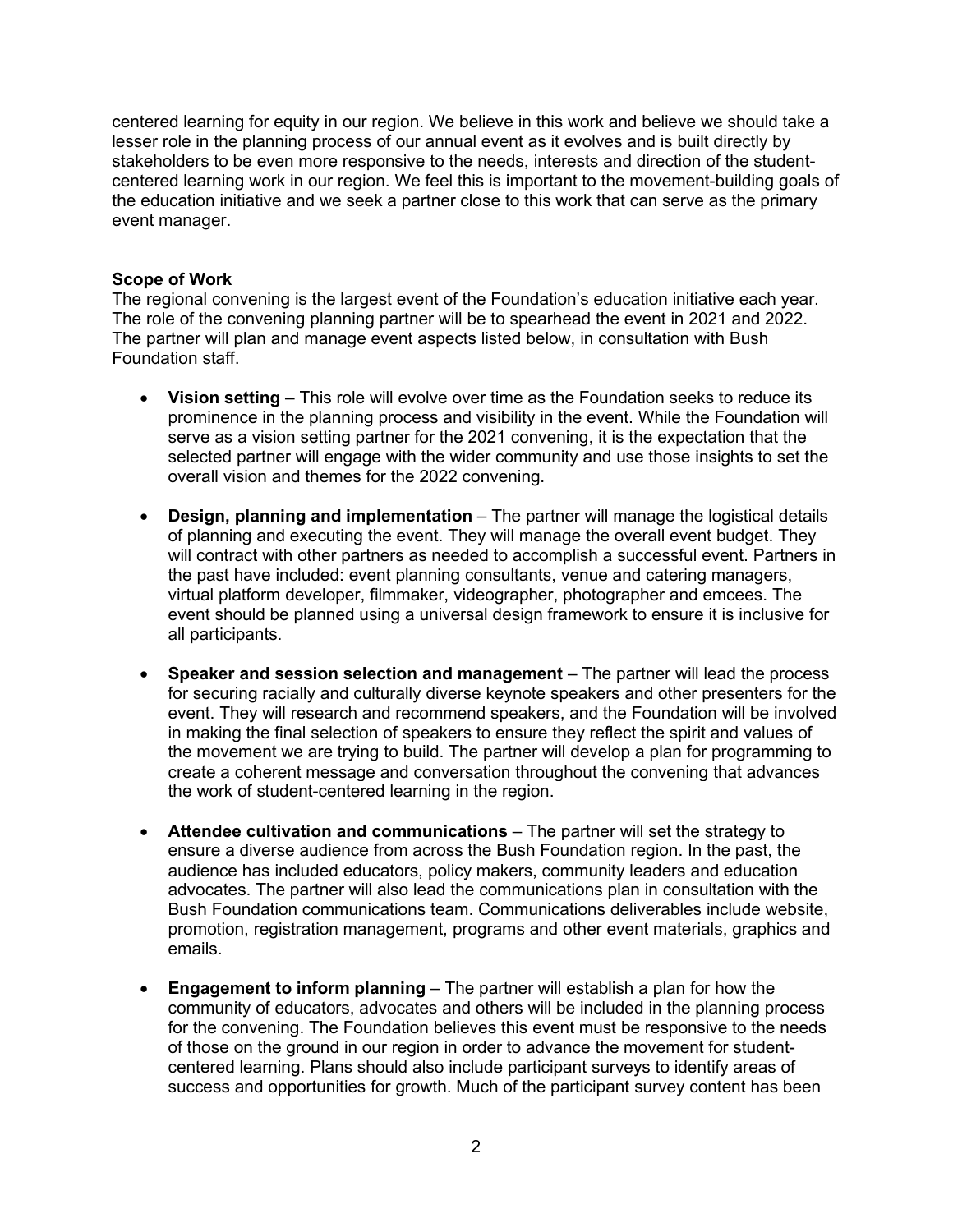centered learning for equity in our region. We believe in this work and believe we should take a lesser role in the planning process of our annual event as it evolves and is built directly by stakeholders to be even more responsive to the needs, interests and direction of the studentcentered learning work in our region. We feel this is important to the movement-building goals of the education initiative and we seek a partner close to this work that can serve as the primary event manager.

# **Scope of Work**

The regional convening is the largest event of the Foundation's education initiative each year. The role of the convening planning partner will be to spearhead the event in 2021 and 2022. The partner will plan and manage event aspects listed below, in consultation with Bush Foundation staff.

- **Vision setting** This role will evolve over time as the Foundation seeks to reduce its prominence in the planning process and visibility in the event. While the Foundation will serve as a vision setting partner for the 2021 convening, it is the expectation that the selected partner will engage with the wider community and use those insights to set the overall vision and themes for the 2022 convening.
- **Design, planning and implementation**  The partner will manage the logistical details of planning and executing the event. They will manage the overall event budget. They will contract with other partners as needed to accomplish a successful event. Partners in the past have included: event planning consultants, venue and catering managers, virtual platform developer, filmmaker, videographer, photographer and emcees. The event should be planned using a universal design framework to ensure it is inclusive for all participants.
- **Speaker and session selection and management**  The partner will lead the process for securing racially and culturally diverse keynote speakers and other presenters for the event. They will research and recommend speakers, and the Foundation will be involved in making the final selection of speakers to ensure they reflect the spirit and values of the movement we are trying to build. The partner will develop a plan for programming to create a coherent message and conversation throughout the convening that advances the work of student-centered learning in the region.
- **Attendee cultivation and communications** The partner will set the strategy to ensure a diverse audience from across the Bush Foundation region. In the past, the audience has included educators, policy makers, community leaders and education advocates. The partner will also lead the communications plan in consultation with the Bush Foundation communications team. Communications deliverables include website, promotion, registration management, programs and other event materials, graphics and emails.
- **Engagement to inform planning** The partner will establish a plan for how the community of educators, advocates and others will be included in the planning process for the convening. The Foundation believes this event must be responsive to the needs of those on the ground in our region in order to advance the movement for studentcentered learning. Plans should also include participant surveys to identify areas of success and opportunities for growth. Much of the participant survey content has been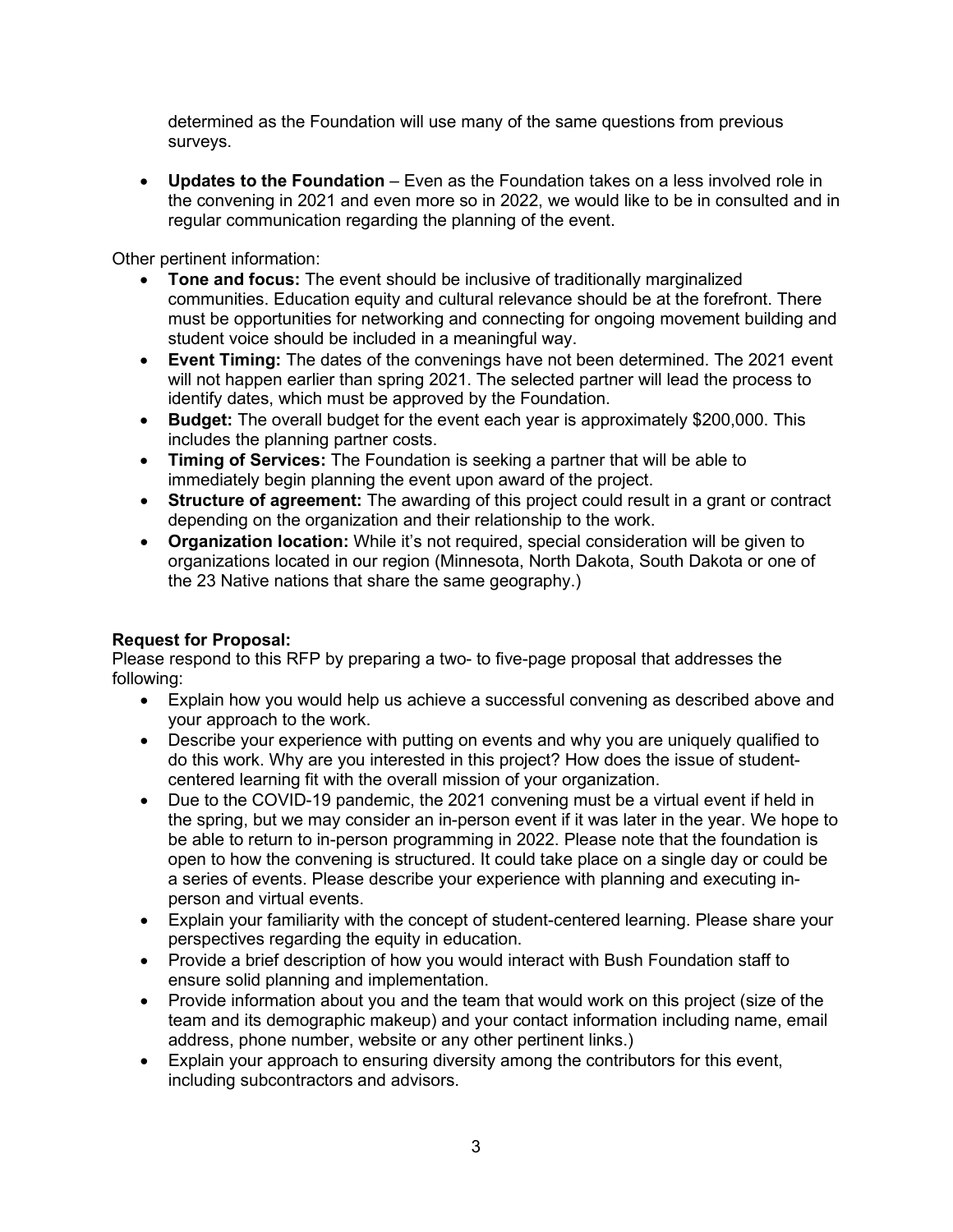determined as the Foundation will use many of the same questions from previous surveys.

• **Updates to the Foundation** – Even as the Foundation takes on a less involved role in the convening in 2021 and even more so in 2022, we would like to be in consulted and in regular communication regarding the planning of the event.

Other pertinent information:

- **Tone and focus:** The event should be inclusive of traditionally marginalized communities. Education equity and cultural relevance should be at the forefront. There must be opportunities for networking and connecting for ongoing movement building and student voice should be included in a meaningful way.
- **Event Timing:** The dates of the convenings have not been determined. The 2021 event will not happen earlier than spring 2021. The selected partner will lead the process to identify dates, which must be approved by the Foundation.
- **Budget:** The overall budget for the event each year is approximately \$200,000. This includes the planning partner costs.
- **Timing of Services:** The Foundation is seeking a partner that will be able to immediately begin planning the event upon award of the project.
- **Structure of agreement:** The awarding of this project could result in a grant or contract depending on the organization and their relationship to the work.
- **Organization location:** While it's not required, special consideration will be given to organizations located in our region (Minnesota, North Dakota, South Dakota or one of the 23 Native nations that share the same geography.)

# **Request for Proposal:**

Please respond to this RFP by preparing a two- to five-page proposal that addresses the following:

- Explain how you would help us achieve a successful convening as described above and your approach to the work.
- Describe your experience with putting on events and why you are uniquely qualified to do this work. Why are you interested in this project? How does the issue of studentcentered learning fit with the overall mission of your organization.
- Due to the COVID-19 pandemic, the 2021 convening must be a virtual event if held in the spring, but we may consider an in-person event if it was later in the year. We hope to be able to return to in-person programming in 2022. Please note that the foundation is open to how the convening is structured. It could take place on a single day or could be a series of events. Please describe your experience with planning and executing inperson and virtual events.
- Explain your familiarity with the concept of student-centered learning. Please share your perspectives regarding the equity in education.
- Provide a brief description of how you would interact with Bush Foundation staff to ensure solid planning and implementation.
- Provide information about you and the team that would work on this project (size of the team and its demographic makeup) and your contact information including name, email address, phone number, website or any other pertinent links.)
- Explain your approach to ensuring diversity among the contributors for this event, including subcontractors and advisors.